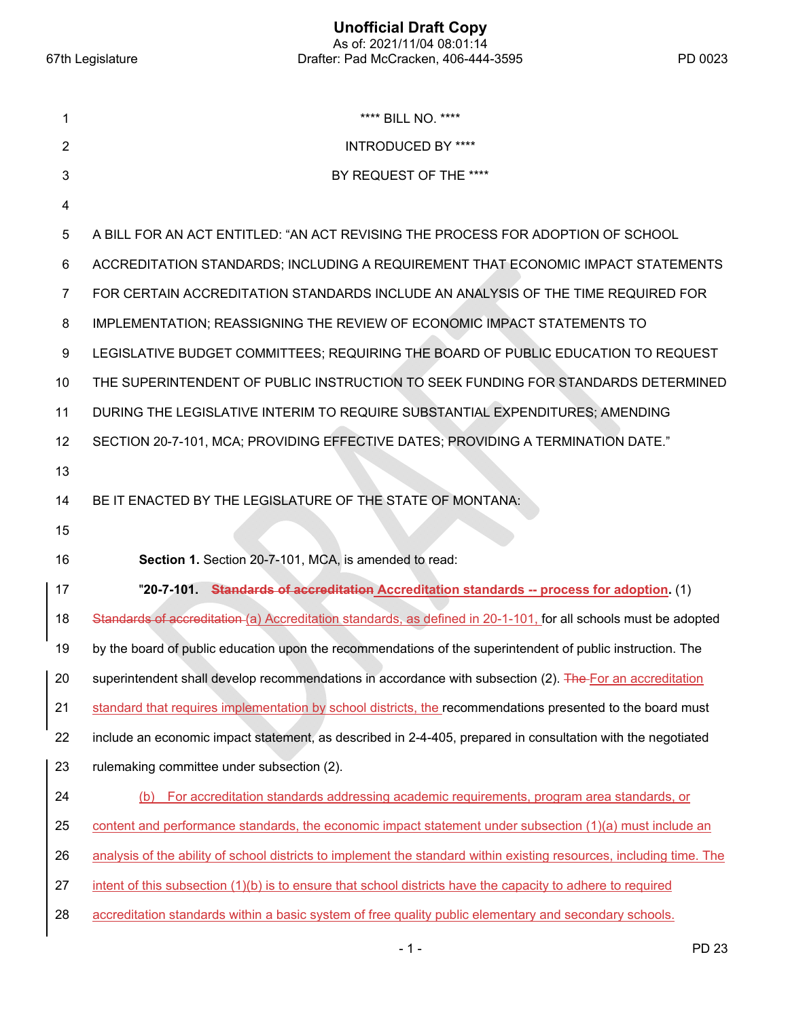**Unofficial Draft Copy**  As of: 2021/11/04 08:01:14 67th Legislature Drafter: Pad McCracken, 406-444-3595 PD 0023

| 1              | **** BILL NO. ****                                                                                                   |
|----------------|----------------------------------------------------------------------------------------------------------------------|
| $\overline{2}$ | <b>INTRODUCED BY ****</b>                                                                                            |
| 3              | BY REQUEST OF THE ****                                                                                               |
| 4              |                                                                                                                      |
| 5              | A BILL FOR AN ACT ENTITLED: "AN ACT REVISING THE PROCESS FOR ADOPTION OF SCHOOL                                      |
| 6              | ACCREDITATION STANDARDS; INCLUDING A REQUIREMENT THAT ECONOMIC IMPACT STATEMENTS                                     |
| 7              | FOR CERTAIN ACCREDITATION STANDARDS INCLUDE AN ANALYSIS OF THE TIME REQUIRED FOR                                     |
| 8              | IMPLEMENTATION; REASSIGNING THE REVIEW OF ECONOMIC IMPACT STATEMENTS TO                                              |
| 9              | LEGISLATIVE BUDGET COMMITTEES; REQUIRING THE BOARD OF PUBLIC EDUCATION TO REQUEST                                    |
| 10             | THE SUPERINTENDENT OF PUBLIC INSTRUCTION TO SEEK FUNDING FOR STANDARDS DETERMINED                                    |
| 11             | DURING THE LEGISLATIVE INTERIM TO REQUIRE SUBSTANTIAL EXPENDITURES; AMENDING                                         |
| 12             | SECTION 20-7-101, MCA; PROVIDING EFFECTIVE DATES; PROVIDING A TERMINATION DATE."                                     |
| 13             |                                                                                                                      |
| 14             | BE IT ENACTED BY THE LEGISLATURE OF THE STATE OF MONTANA:                                                            |
| 15             |                                                                                                                      |
| 16             | Section 1. Section 20-7-101, MCA, is amended to read:                                                                |
| 17             | "20-7-101. Standards of accreditation Accreditation standards -- process for adoption. (1)                           |
| 18             | Standards of accreditation (a) Accreditation standards, as defined in 20-1-101, for all schools must be adopted      |
| 19             | by the board of public education upon the recommendations of the superintendent of public instruction. The           |
| 20             | superintendent shall develop recommendations in accordance with subsection (2). The For an accreditation             |
| 21             | standard that requires implementation by school districts, the recommendations presented to the board must           |
| 22             | include an economic impact statement, as described in 2-4-405, prepared in consultation with the negotiated          |
| 23             | rulemaking committee under subsection (2).                                                                           |
| 24             | For accreditation standards addressing academic requirements, program area standards, or<br>(b)                      |
| 25             | content and performance standards, the economic impact statement under subsection (1)(a) must include an             |
| 26             | analysis of the ability of school districts to implement the standard within existing resources, including time. The |
| 27             | intent of this subsection (1)(b) is to ensure that school districts have the capacity to adhere to required          |
| 28             | accreditation standards within a basic system of free quality public elementary and secondary schools.               |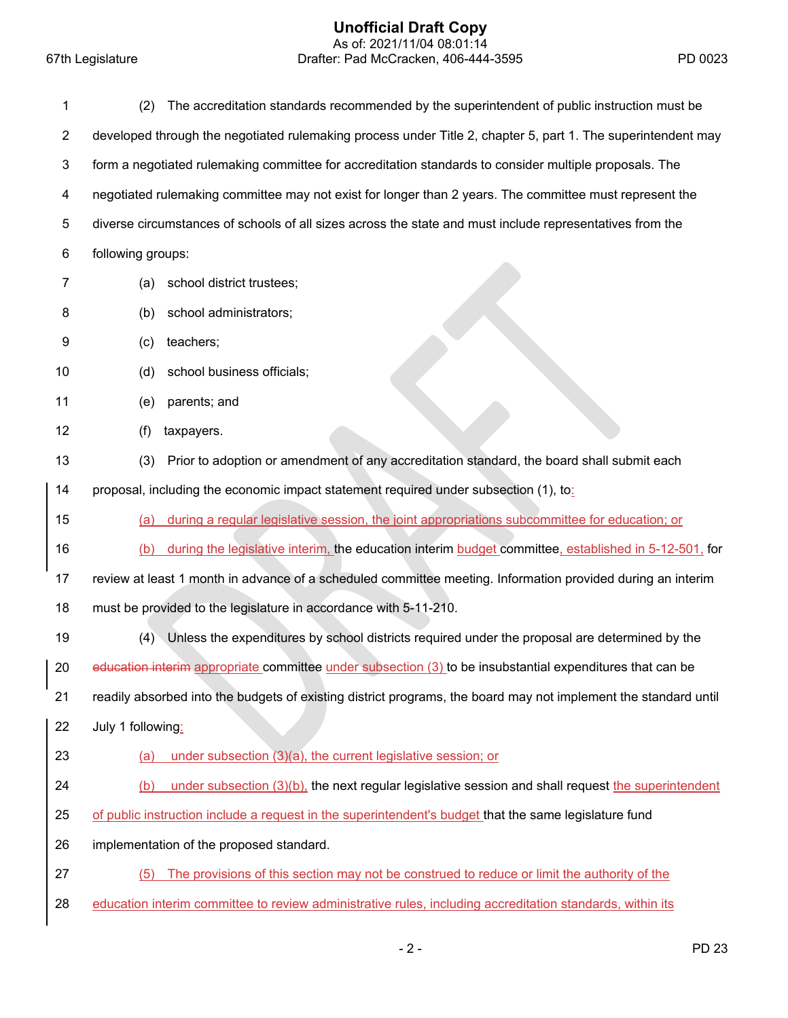## **Unofficial Draft Copy**

 As of: 2021/11/04 08:01:14 67th Legislature Drafter: Pad McCracken, 406-444-3595 PD 0023

| 1              | The accreditation standards recommended by the superintendent of public instruction must be<br>(2)              |
|----------------|-----------------------------------------------------------------------------------------------------------------|
| $\overline{2}$ | developed through the negotiated rulemaking process under Title 2, chapter 5, part 1. The superintendent may    |
| 3              | form a negotiated rulemaking committee for accreditation standards to consider multiple proposals. The          |
| 4              | negotiated rulemaking committee may not exist for longer than 2 years. The committee must represent the         |
| 5              | diverse circumstances of schools of all sizes across the state and must include representatives from the        |
| 6              | following groups:                                                                                               |
| 7              | school district trustees;<br>(a)                                                                                |
| 8              | school administrators;<br>(b)                                                                                   |
| 9              | teachers;<br>(c)                                                                                                |
| 10             | school business officials;<br>(d)                                                                               |
| 11             | (e)<br>parents; and                                                                                             |
| 12             | (f)<br>taxpayers.                                                                                               |
| 13             | Prior to adoption or amendment of any accreditation standard, the board shall submit each<br>(3)                |
| 14             | proposal, including the economic impact statement required under subsection (1), to                             |
| 15             | during a regular legislative session, the joint appropriations subcommittee for education; or<br>(a)            |
| 16             | during the legislative interim, the education interim budget committee, established in 5-12-501, for<br>(b)     |
| 17             | review at least 1 month in advance of a scheduled committee meeting. Information provided during an interim     |
| 18             | must be provided to the legislature in accordance with 5-11-210.                                                |
| 19             | Unless the expenditures by school districts required under the proposal are determined by the<br>(4)            |
| 20             | education interim appropriate committee under subsection (3) to be insubstantial expenditures that can be       |
| 21             | readily absorbed into the budgets of existing district programs, the board may not implement the standard until |
| 22             | July 1 following:                                                                                               |
| 23             | under subsection (3)(a), the current legislative session; or<br>(a)                                             |
| 24             | under subsection $(3)(b)$ , the next regular legislative session and shall request the superintendent<br>(b)    |
| 25             | of public instruction include a request in the superintendent's budget that the same legislature fund           |
| 26             | implementation of the proposed standard.                                                                        |
| 27             | The provisions of this section may not be construed to reduce or limit the authority of the<br>(5)              |
| 28             | education interim committee to review administrative rules, including accreditation standards, within its       |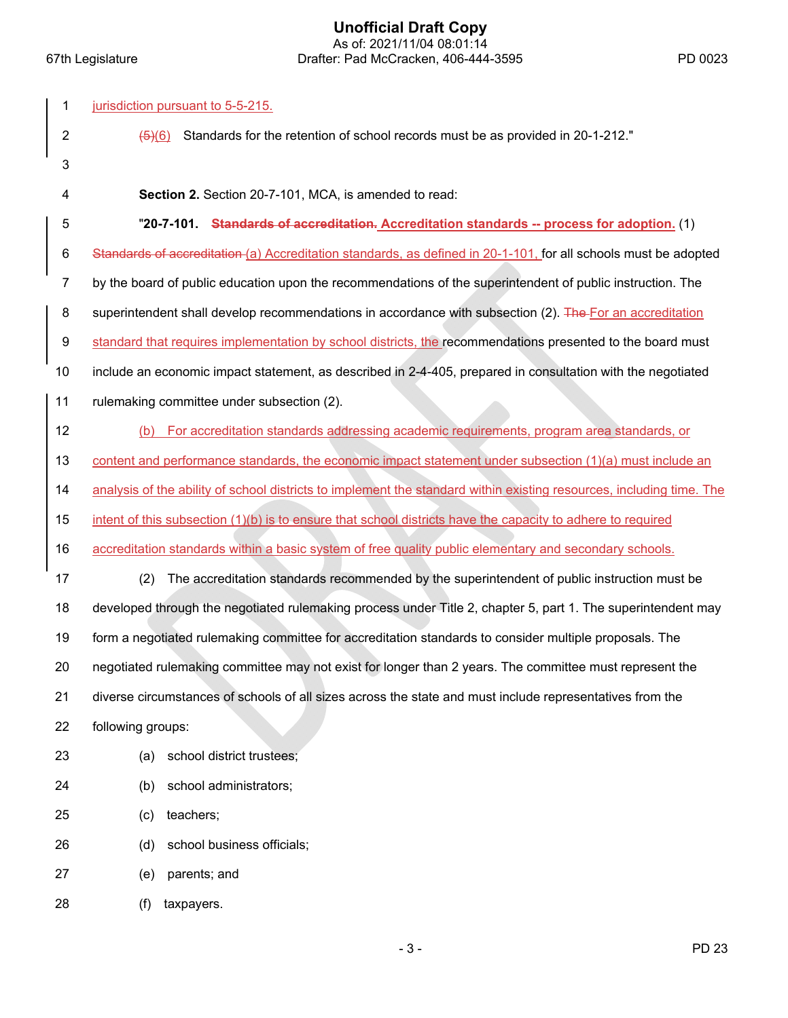**Unofficial Draft Copy**  As of: 2021/11/04 08:01:14 67th Legislature Drafter: Pad McCracken, 406-444-3595 PD 0023

| 1              | jurisdiction pursuant to 5-5-215.                                                                                    |
|----------------|----------------------------------------------------------------------------------------------------------------------|
| $\overline{2}$ | Standards for the retention of school records must be as provided in 20-1-212."<br>$\left( 6 \right) (6)$            |
| 3              |                                                                                                                      |
| 4              | Section 2. Section 20-7-101, MCA, is amended to read:                                                                |
| 5              | "20-7-101. Standards of accreditation. Accreditation standards -- process for adoption. (1)                          |
| 6              | Standards of accreditation (a) Accreditation standards, as defined in 20-1-101, for all schools must be adopted      |
| $\overline{7}$ | by the board of public education upon the recommendations of the superintendent of public instruction. The           |
| 8              | superintendent shall develop recommendations in accordance with subsection (2). The For an accreditation             |
| 9              | standard that requires implementation by school districts, the recommendations presented to the board must           |
| 10             | include an economic impact statement, as described in 2-4-405, prepared in consultation with the negotiated          |
| 11             | rulemaking committee under subsection (2).                                                                           |
| 12             | For accreditation standards addressing academic requirements, program area standards, or<br>(b)                      |
| 13             | content and performance standards, the economic impact statement under subsection (1)(a) must include an             |
| 14             | analysis of the ability of school districts to implement the standard within existing resources, including time. The |
| 15             | intent of this subsection (1)(b) is to ensure that school districts have the capacity to adhere to required          |
| 16             | accreditation standards within a basic system of free quality public elementary and secondary schools.               |
| 17             | The accreditation standards recommended by the superintendent of public instruction must be<br>(2)                   |
| 18             | developed through the negotiated rulemaking process under Title 2, chapter 5, part 1. The superintendent may         |
| 19             | form a negotiated rulemaking committee for accreditation standards to consider multiple proposals. The               |
| 20             | negotiated rulemaking committee may not exist for longer than 2 years. The committee must represent the              |
| 21             | diverse circumstances of schools of all sizes across the state and must include representatives from the             |
| 22             | following groups:                                                                                                    |
| 23             | school district trustees;<br>(a)                                                                                     |
| 24             | school administrators;<br>(b)                                                                                        |
| 25             | teachers;<br>(c)                                                                                                     |
| 26             | school business officials;<br>(d)                                                                                    |
| 27             | parents; and<br>(e)                                                                                                  |
| 28             | taxpayers.<br>(f)                                                                                                    |